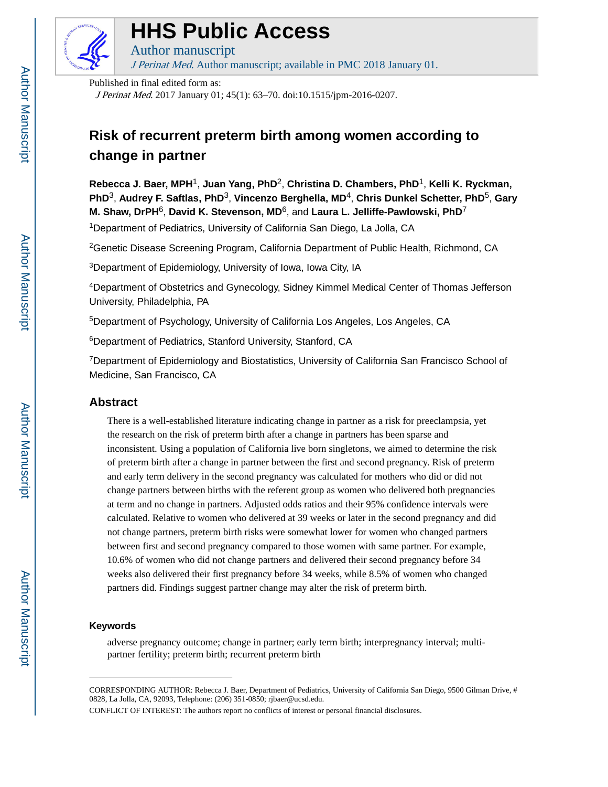

# **HHS Public Access**

Author manuscript J Perinat Med. Author manuscript; available in PMC 2018 January 01.

Published in final edited form as:

J Perinat Med. 2017 January 01; 45(1): 63–70. doi:10.1515/jpm-2016-0207.

# **Risk of recurrent preterm birth among women according to change in partner**

**Rebecca J. Baer, MPH**1, **Juan Yang, PhD**2, **Christina D. Chambers, PhD**1, **Kelli K. Ryckman, PhD**3, **Audrey F. Saftlas, PhD**3, **Vincenzo Berghella, MD**4, **Chris Dunkel Schetter, PhD**5, **Gary M. Shaw, DrPH**6, **David K. Stevenson, MD**6, and **Laura L. Jelliffe-Pawlowski, PhD**<sup>7</sup>

<sup>1</sup>Department of Pediatrics, University of California San Diego, La Jolla, CA

<sup>2</sup>Genetic Disease Screening Program, California Department of Public Health, Richmond, CA

<sup>3</sup>Department of Epidemiology, University of Iowa, Iowa City, IA

<sup>4</sup>Department of Obstetrics and Gynecology, Sidney Kimmel Medical Center of Thomas Jefferson University, Philadelphia, PA

<sup>5</sup>Department of Psychology, University of California Los Angeles, Los Angeles, CA

<sup>6</sup>Department of Pediatrics, Stanford University, Stanford, CA

<sup>7</sup>Department of Epidemiology and Biostatistics, University of California San Francisco School of Medicine, San Francisco, CA

# **Abstract**

There is a well-established literature indicating change in partner as a risk for preeclampsia, yet the research on the risk of preterm birth after a change in partners has been sparse and inconsistent. Using a population of California live born singletons, we aimed to determine the risk of preterm birth after a change in partner between the first and second pregnancy. Risk of preterm and early term delivery in the second pregnancy was calculated for mothers who did or did not change partners between births with the referent group as women who delivered both pregnancies at term and no change in partners. Adjusted odds ratios and their 95% confidence intervals were calculated. Relative to women who delivered at 39 weeks or later in the second pregnancy and did not change partners, preterm birth risks were somewhat lower for women who changed partners between first and second pregnancy compared to those women with same partner. For example, 10.6% of women who did not change partners and delivered their second pregnancy before 34 weeks also delivered their first pregnancy before 34 weeks, while 8.5% of women who changed partners did. Findings suggest partner change may alter the risk of preterm birth.

#### **Keywords**

adverse pregnancy outcome; change in partner; early term birth; interpregnancy interval; multipartner fertility; preterm birth; recurrent preterm birth

CORRESPONDING AUTHOR: Rebecca J. Baer, Department of Pediatrics, University of California San Diego, 9500 Gilman Drive, # 0828, La Jolla, CA, 92093, Telephone: (206) 351-0850; rjbaer@ucsd.edu.

CONFLICT OF INTEREST: The authors report no conflicts of interest or personal financial disclosures.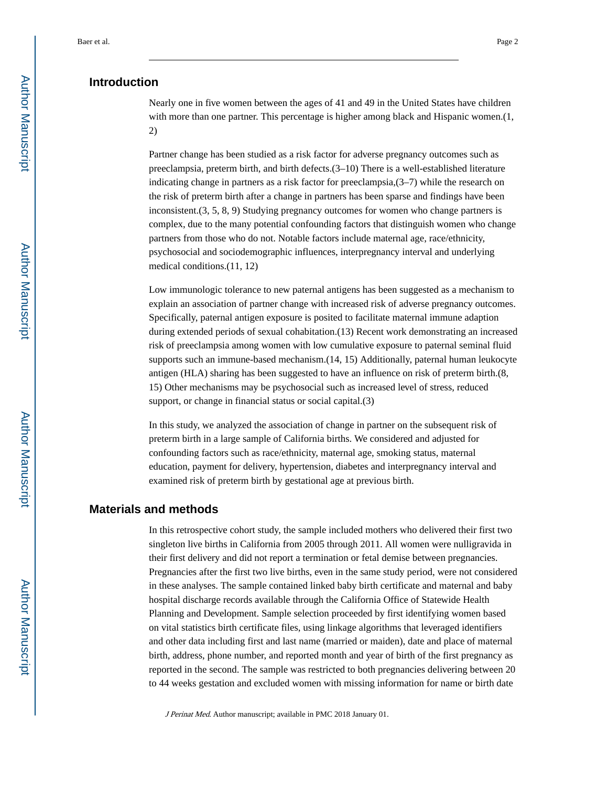## **Introduction**

Nearly one in five women between the ages of 41 and 49 in the United States have children with more than one partner. This percentage is higher among black and Hispanic women.(1, 2)

Partner change has been studied as a risk factor for adverse pregnancy outcomes such as preeclampsia, preterm birth, and birth defects.(3–10) There is a well-established literature indicating change in partners as a risk factor for preeclampsia,(3–7) while the research on the risk of preterm birth after a change in partners has been sparse and findings have been inconsistent.(3, 5, 8, 9) Studying pregnancy outcomes for women who change partners is complex, due to the many potential confounding factors that distinguish women who change partners from those who do not. Notable factors include maternal age, race/ethnicity, psychosocial and sociodemographic influences, interpregnancy interval and underlying medical conditions.(11, 12)

Low immunologic tolerance to new paternal antigens has been suggested as a mechanism to explain an association of partner change with increased risk of adverse pregnancy outcomes. Specifically, paternal antigen exposure is posited to facilitate maternal immune adaption during extended periods of sexual cohabitation.(13) Recent work demonstrating an increased risk of preeclampsia among women with low cumulative exposure to paternal seminal fluid supports such an immune-based mechanism.(14, 15) Additionally, paternal human leukocyte antigen (HLA) sharing has been suggested to have an influence on risk of preterm birth.(8, 15) Other mechanisms may be psychosocial such as increased level of stress, reduced support, or change in financial status or social capital.(3)

In this study, we analyzed the association of change in partner on the subsequent risk of preterm birth in a large sample of California births. We considered and adjusted for confounding factors such as race/ethnicity, maternal age, smoking status, maternal education, payment for delivery, hypertension, diabetes and interpregnancy interval and examined risk of preterm birth by gestational age at previous birth.

### **Materials and methods**

In this retrospective cohort study, the sample included mothers who delivered their first two singleton live births in California from 2005 through 2011. All women were nulligravida in their first delivery and did not report a termination or fetal demise between pregnancies. Pregnancies after the first two live births, even in the same study period, were not considered in these analyses. The sample contained linked baby birth certificate and maternal and baby hospital discharge records available through the California Office of Statewide Health Planning and Development. Sample selection proceeded by first identifying women based on vital statistics birth certificate files, using linkage algorithms that leveraged identifiers and other data including first and last name (married or maiden), date and place of maternal birth, address, phone number, and reported month and year of birth of the first pregnancy as reported in the second. The sample was restricted to both pregnancies delivering between 20 to 44 weeks gestation and excluded women with missing information for name or birth date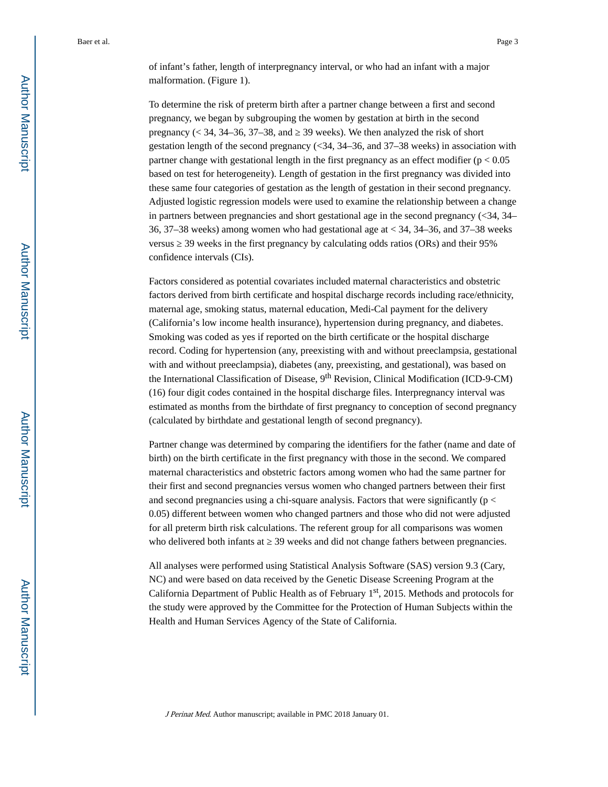of infant's father, length of interpregnancy interval, or who had an infant with a major malformation. (Figure 1).

To determine the risk of preterm birth after a partner change between a first and second pregnancy, we began by subgrouping the women by gestation at birth in the second pregnancy  $\approx$  34, 34–36, 37–38, and  $\approx$  39 weeks). We then analyzed the risk of short gestation length of the second pregnancy  $\langle$  <34, 34–36, and 37–38 weeks) in association with partner change with gestational length in the first pregnancy as an effect modifier ( $p < 0.05$ ) based on test for heterogeneity). Length of gestation in the first pregnancy was divided into these same four categories of gestation as the length of gestation in their second pregnancy. Adjusted logistic regression models were used to examine the relationship between a change in partners between pregnancies and short gestational age in the second pregnancy  $\left( \langle 34, 34 \rangle \right)$ 36, 37–38 weeks) among women who had gestational age at < 34, 34–36, and 37–38 weeks versus ≥ 39 weeks in the first pregnancy by calculating odds ratios (ORs) and their 95% confidence intervals (CIs).

Factors considered as potential covariates included maternal characteristics and obstetric factors derived from birth certificate and hospital discharge records including race/ethnicity, maternal age, smoking status, maternal education, Medi-Cal payment for the delivery (California's low income health insurance), hypertension during pregnancy, and diabetes. Smoking was coded as yes if reported on the birth certificate or the hospital discharge record. Coding for hypertension (any, preexisting with and without preeclampsia, gestational with and without preeclampsia), diabetes (any, preexisting, and gestational), was based on the International Classification of Disease, 9th Revision, Clinical Modification (ICD-9-CM) (16) four digit codes contained in the hospital discharge files. Interpregnancy interval was estimated as months from the birthdate of first pregnancy to conception of second pregnancy (calculated by birthdate and gestational length of second pregnancy).

Partner change was determined by comparing the identifiers for the father (name and date of birth) on the birth certificate in the first pregnancy with those in the second. We compared maternal characteristics and obstetric factors among women who had the same partner for their first and second pregnancies versus women who changed partners between their first and second pregnancies using a chi-square analysis. Factors that were significantly ( $p <$ 0.05) different between women who changed partners and those who did not were adjusted for all preterm birth risk calculations. The referent group for all comparisons was women who delivered both infants at  $\frac{39}{28}$  weeks and did not change fathers between pregnancies.

All analyses were performed using Statistical Analysis Software (SAS) version 9.3 (Cary, NC) and were based on data received by the Genetic Disease Screening Program at the California Department of Public Health as of February 1st, 2015. Methods and protocols for the study were approved by the Committee for the Protection of Human Subjects within the Health and Human Services Agency of the State of California.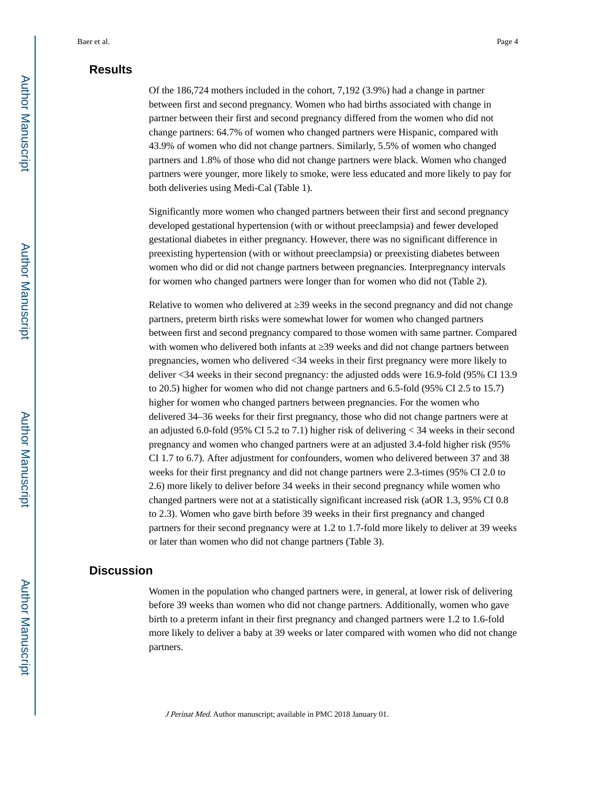# **Results**

Of the 186,724 mothers included in the cohort, 7,192 (3.9%) had a change in partner between first and second pregnancy. Women who had births associated with change in partner between their first and second pregnancy differed from the women who did not change partners: 64.7% of women who changed partners were Hispanic, compared with 43.9% of women who did not change partners. Similarly, 5.5% of women who changed partners and 1.8% of those who did not change partners were black. Women who changed partners were younger, more likely to smoke, were less educated and more likely to pay for both deliveries using Medi-Cal (Table 1).

Significantly more women who changed partners between their first and second pregnancy developed gestational hypertension (with or without preeclampsia) and fewer developed gestational diabetes in either pregnancy. However, there was no significant difference in preexisting hypertension (with or without preeclampsia) or preexisting diabetes between women who did or did not change partners between pregnancies. Interpregnancy intervals for women who changed partners were longer than for women who did not (Table 2).

Relative to women who delivered at 39 weeks in the second pregnancy and did not change partners, preterm birth risks were somewhat lower for women who changed partners between first and second pregnancy compared to those women with same partner. Compared with women who delivered both infants at  $\,$  39 weeks and did not change partners between pregnancies, women who delivered <34 weeks in their first pregnancy were more likely to deliver <34 weeks in their second pregnancy: the adjusted odds were 16.9-fold (95% CI 13.9 to 20.5) higher for women who did not change partners and 6.5-fold (95% CI 2.5 to 15.7) higher for women who changed partners between pregnancies. For the women who delivered 34–36 weeks for their first pregnancy, those who did not change partners were at an adjusted 6.0-fold (95% CI 5.2 to 7.1) higher risk of delivering  $<$  34 weeks in their second pregnancy and women who changed partners were at an adjusted 3.4-fold higher risk (95% CI 1.7 to 6.7). After adjustment for confounders, women who delivered between 37 and 38 weeks for their first pregnancy and did not change partners were 2.3-times (95% CI 2.0 to 2.6) more likely to deliver before 34 weeks in their second pregnancy while women who changed partners were not at a statistically significant increased risk (aOR 1.3, 95% CI 0.8 to 2.3). Women who gave birth before 39 weeks in their first pregnancy and changed partners for their second pregnancy were at 1.2 to 1.7-fold more likely to deliver at 39 weeks or later than women who did not change partners (Table 3).

## **Discussion**

Women in the population who changed partners were, in general, at lower risk of delivering before 39 weeks than women who did not change partners. Additionally, women who gave birth to a preterm infant in their first pregnancy and changed partners were 1.2 to 1.6-fold more likely to deliver a baby at 39 weeks or later compared with women who did not change partners.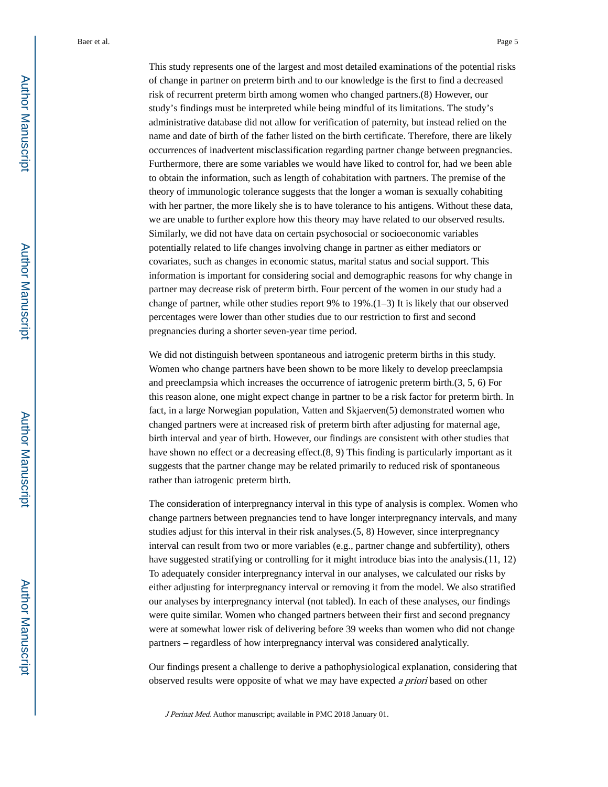This study represents one of the largest and most detailed examinations of the potential risks of change in partner on preterm birth and to our knowledge is the first to find a decreased risk of recurrent preterm birth among women who changed partners.(8) However, our study's findings must be interpreted while being mindful of its limitations. The study's administrative database did not allow for verification of paternity, but instead relied on the name and date of birth of the father listed on the birth certificate. Therefore, there are likely occurrences of inadvertent misclassification regarding partner change between pregnancies. Furthermore, there are some variables we would have liked to control for, had we been able to obtain the information, such as length of cohabitation with partners. The premise of the theory of immunologic tolerance suggests that the longer a woman is sexually cohabiting with her partner, the more likely she is to have tolerance to his antigens. Without these data, we are unable to further explore how this theory may have related to our observed results. Similarly, we did not have data on certain psychosocial or socioeconomic variables potentially related to life changes involving change in partner as either mediators or covariates, such as changes in economic status, marital status and social support. This information is important for considering social and demographic reasons for why change in partner may decrease risk of preterm birth. Four percent of the women in our study had a change of partner, while other studies report 9% to 19%.(1–3) It is likely that our observed percentages were lower than other studies due to our restriction to first and second pregnancies during a shorter seven-year time period.

We did not distinguish between spontaneous and iatrogenic preterm births in this study. Women who change partners have been shown to be more likely to develop preeclampsia and preeclampsia which increases the occurrence of iatrogenic preterm birth.(3, 5, 6) For this reason alone, one might expect change in partner to be a risk factor for preterm birth. In fact, in a large Norwegian population, Vatten and Skjaerven(5) demonstrated women who changed partners were at increased risk of preterm birth after adjusting for maternal age, birth interval and year of birth. However, our findings are consistent with other studies that have shown no effect or a decreasing effect.(8, 9) This finding is particularly important as it suggests that the partner change may be related primarily to reduced risk of spontaneous rather than iatrogenic preterm birth.

The consideration of interpregnancy interval in this type of analysis is complex. Women who change partners between pregnancies tend to have longer interpregnancy intervals, and many studies adjust for this interval in their risk analyses.(5, 8) However, since interpregnancy interval can result from two or more variables (e.g., partner change and subfertility), others have suggested stratifying or controlling for it might introduce bias into the analysis.(11, 12) To adequately consider interpregnancy interval in our analyses, we calculated our risks by either adjusting for interpregnancy interval or removing it from the model. We also stratified our analyses by interpregnancy interval (not tabled). In each of these analyses, our findings were quite similar. Women who changed partners between their first and second pregnancy were at somewhat lower risk of delivering before 39 weeks than women who did not change partners – regardless of how interpregnancy interval was considered analytically.

Our findings present a challenge to derive a pathophysiological explanation, considering that observed results were opposite of what we may have expected a priori based on other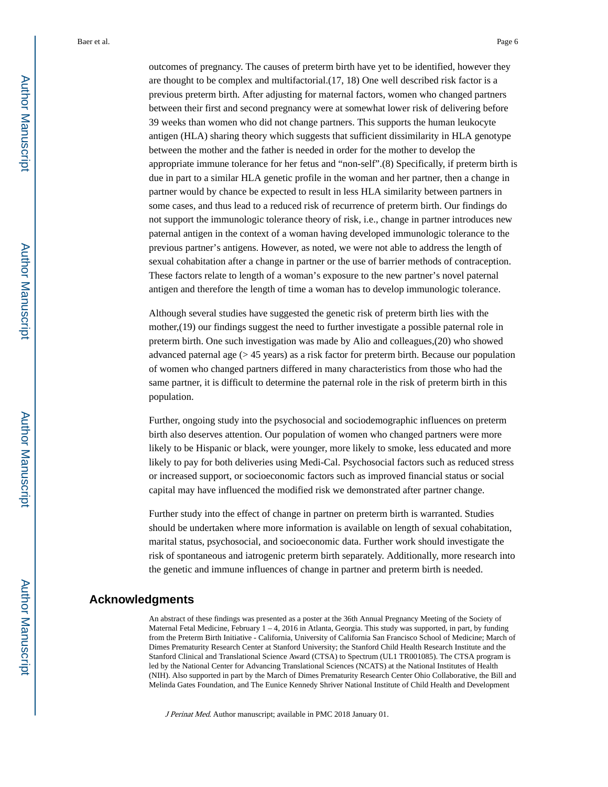outcomes of pregnancy. The causes of preterm birth have yet to be identified, however they are thought to be complex and multifactorial.(17, 18) One well described risk factor is a previous preterm birth. After adjusting for maternal factors, women who changed partners between their first and second pregnancy were at somewhat lower risk of delivering before 39 weeks than women who did not change partners. This supports the human leukocyte antigen (HLA) sharing theory which suggests that sufficient dissimilarity in HLA genotype between the mother and the father is needed in order for the mother to develop the appropriate immune tolerance for her fetus and "non-self".(8) Specifically, if preterm birth is due in part to a similar HLA genetic profile in the woman and her partner, then a change in partner would by chance be expected to result in less HLA similarity between partners in some cases, and thus lead to a reduced risk of recurrence of preterm birth. Our findings do not support the immunologic tolerance theory of risk, i.e., change in partner introduces new paternal antigen in the context of a woman having developed immunologic tolerance to the previous partner's antigens. However, as noted, we were not able to address the length of sexual cohabitation after a change in partner or the use of barrier methods of contraception. These factors relate to length of a woman's exposure to the new partner's novel paternal antigen and therefore the length of time a woman has to develop immunologic tolerance.

Although several studies have suggested the genetic risk of preterm birth lies with the mother,(19) our findings suggest the need to further investigate a possible paternal role in preterm birth. One such investigation was made by Alio and colleagues,(20) who showed advanced paternal age (> 45 years) as a risk factor for preterm birth. Because our population of women who changed partners differed in many characteristics from those who had the same partner, it is difficult to determine the paternal role in the risk of preterm birth in this population.

Further, ongoing study into the psychosocial and sociodemographic influences on preterm birth also deserves attention. Our population of women who changed partners were more likely to be Hispanic or black, were younger, more likely to smoke, less educated and more likely to pay for both deliveries using Medi-Cal. Psychosocial factors such as reduced stress or increased support, or socioeconomic factors such as improved financial status or social capital may have influenced the modified risk we demonstrated after partner change.

Further study into the effect of change in partner on preterm birth is warranted. Studies should be undertaken where more information is available on length of sexual cohabitation, marital status, psychosocial, and socioeconomic data. Further work should investigate the risk of spontaneous and iatrogenic preterm birth separately. Additionally, more research into the genetic and immune influences of change in partner and preterm birth is needed.

#### **Acknowledgments**

An abstract of these findings was presented as a poster at the 36th Annual Pregnancy Meeting of the Society of Maternal Fetal Medicine, February 1 – 4, 2016 in Atlanta, Georgia. This study was supported, in part, by funding from the Preterm Birth Initiative - California, University of California San Francisco School of Medicine; March of Dimes Prematurity Research Center at Stanford University; the Stanford Child Health Research Institute and the Stanford Clinical and Translational Science Award (CTSA) to Spectrum (UL1 TR001085). The CTSA program is led by the National Center for Advancing Translational Sciences (NCATS) at the National Institutes of Health (NIH). Also supported in part by the March of Dimes Prematurity Research Center Ohio Collaborative, the Bill and Melinda Gates Foundation, and The Eunice Kennedy Shriver National Institute of Child Health and Development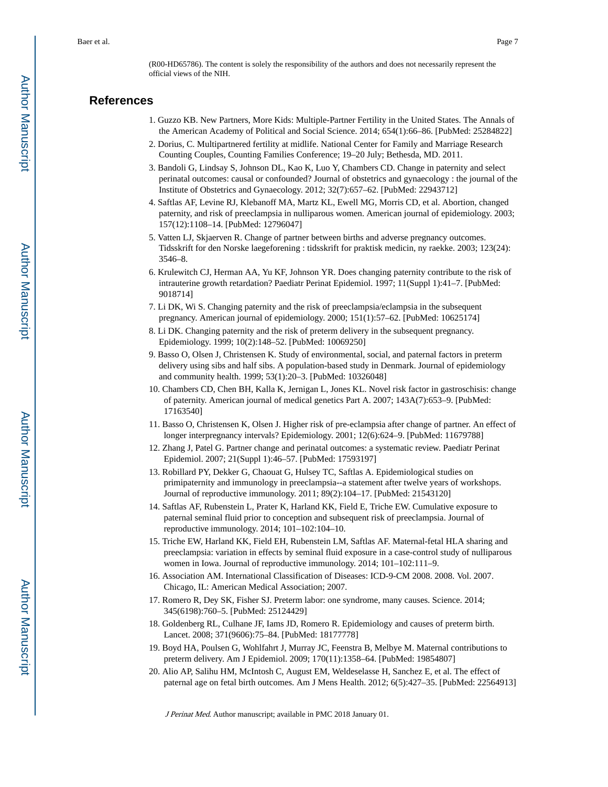(R00-HD65786). The content is solely the responsibility of the authors and does not necessarily represent the official views of the NIH.

#### **References**

- 1. Guzzo KB. New Partners, More Kids: Multiple-Partner Fertility in the United States. The Annals of the American Academy of Political and Social Science. 2014; 654(1):66–86. [PubMed: 25284822]
- 2. Dorius, C. Multipartnered fertility at midlife. National Center for Family and Marriage Research Counting Couples, Counting Families Conference; 19–20 July; Bethesda, MD. 2011.
- 3. Bandoli G, Lindsay S, Johnson DL, Kao K, Luo Y, Chambers CD. Change in paternity and select perinatal outcomes: causal or confounded? Journal of obstetrics and gynaecology : the journal of the Institute of Obstetrics and Gynaecology. 2012; 32(7):657–62. [PubMed: 22943712]
- 4. Saftlas AF, Levine RJ, Klebanoff MA, Martz KL, Ewell MG, Morris CD, et al. Abortion, changed paternity, and risk of preeclampsia in nulliparous women. American journal of epidemiology. 2003; 157(12):1108–14. [PubMed: 12796047]
- 5. Vatten LJ, Skjaerven R. Change of partner between births and adverse pregnancy outcomes. Tidsskrift for den Norske laegeforening : tidsskrift for praktisk medicin, ny raekke. 2003; 123(24): 3546–8.
- 6. Krulewitch CJ, Herman AA, Yu KF, Johnson YR. Does changing paternity contribute to the risk of intrauterine growth retardation? Paediatr Perinat Epidemiol. 1997; 11(Suppl 1):41–7. [PubMed: 9018714]
- 7. Li DK, Wi S. Changing paternity and the risk of preeclampsia/eclampsia in the subsequent pregnancy. American journal of epidemiology. 2000; 151(1):57–62. [PubMed: 10625174]
- 8. Li DK. Changing paternity and the risk of preterm delivery in the subsequent pregnancy. Epidemiology. 1999; 10(2):148–52. [PubMed: 10069250]
- 9. Basso O, Olsen J, Christensen K. Study of environmental, social, and paternal factors in preterm delivery using sibs and half sibs. A population-based study in Denmark. Journal of epidemiology and community health. 1999; 53(1):20–3. [PubMed: 10326048]
- 10. Chambers CD, Chen BH, Kalla K, Jernigan L, Jones KL. Novel risk factor in gastroschisis: change of paternity. American journal of medical genetics Part A. 2007; 143A(7):653–9. [PubMed: 17163540]
- 11. Basso O, Christensen K, Olsen J. Higher risk of pre-eclampsia after change of partner. An effect of longer interpregnancy intervals? Epidemiology. 2001; 12(6):624–9. [PubMed: 11679788]
- 12. Zhang J, Patel G. Partner change and perinatal outcomes: a systematic review. Paediatr Perinat Epidemiol. 2007; 21(Suppl 1):46–57. [PubMed: 17593197]
- 13. Robillard PY, Dekker G, Chaouat G, Hulsey TC, Saftlas A. Epidemiological studies on primipaternity and immunology in preeclampsia--a statement after twelve years of workshops. Journal of reproductive immunology. 2011; 89(2):104–17. [PubMed: 21543120]
- 14. Saftlas AF, Rubenstein L, Prater K, Harland KK, Field E, Triche EW. Cumulative exposure to paternal seminal fluid prior to conception and subsequent risk of preeclampsia. Journal of reproductive immunology. 2014; 101–102:104–10.
- 15. Triche EW, Harland KK, Field EH, Rubenstein LM, Saftlas AF. Maternal-fetal HLA sharing and preeclampsia: variation in effects by seminal fluid exposure in a case-control study of nulliparous women in Iowa. Journal of reproductive immunology. 2014; 101–102:111–9.
- 16. Association AM. International Classification of Diseases: ICD-9-CM 2008. 2008. Vol. 2007. Chicago, IL: American Medical Association; 2007.
- 17. Romero R, Dey SK, Fisher SJ. Preterm labor: one syndrome, many causes. Science. 2014; 345(6198):760–5. [PubMed: 25124429]
- 18. Goldenberg RL, Culhane JF, Iams JD, Romero R. Epidemiology and causes of preterm birth. Lancet. 2008; 371(9606):75–84. [PubMed: 18177778]
- 19. Boyd HA, Poulsen G, Wohlfahrt J, Murray JC, Feenstra B, Melbye M. Maternal contributions to preterm delivery. Am J Epidemiol. 2009; 170(11):1358–64. [PubMed: 19854807]
- 20. Alio AP, Salihu HM, McIntosh C, August EM, Weldeselasse H, Sanchez E, et al. The effect of paternal age on fetal birth outcomes. Am J Mens Health. 2012; 6(5):427–35. [PubMed: 22564913]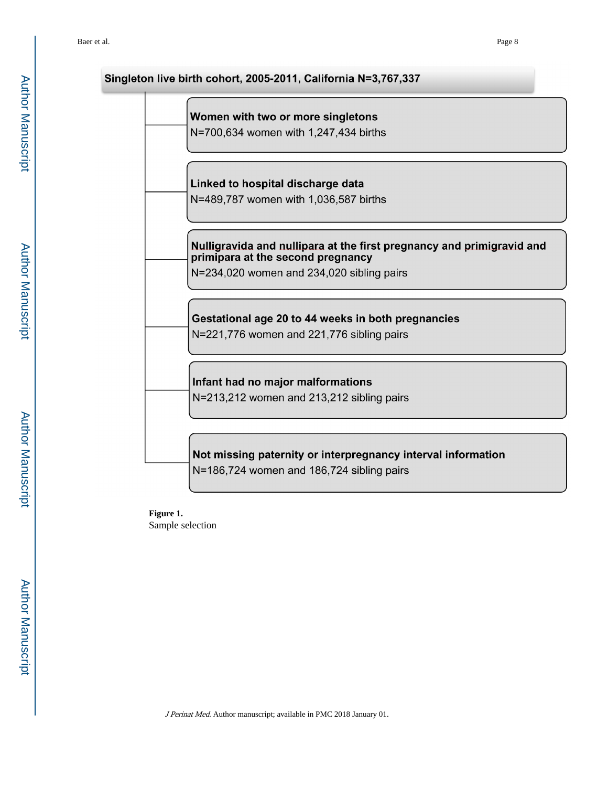# Singleton live birth cohort, 2005-2011, California N=3,767,337 Women with two or more singletons N=700,634 women with 1,247,434 births Linked to hospital discharge data N=489,787 women with 1,036,587 births Nulligravida and nullipara at the first pregnancy and primigravid and primipara at the second pregnancy N=234,020 women and 234,020 sibling pairs Gestational age 20 to 44 weeks in both pregnancies N=221,776 women and 221,776 sibling pairs Infant had no major malformations N=213,212 women and 213,212 sibling pairs Not missing paternity or interpregnancy interval information N=186,724 women and 186,724 sibling pairs

**Figure 1.**  Sample selection

Author Manuscript Author Manuscript

 Author ManuscriptAuthor Manuscript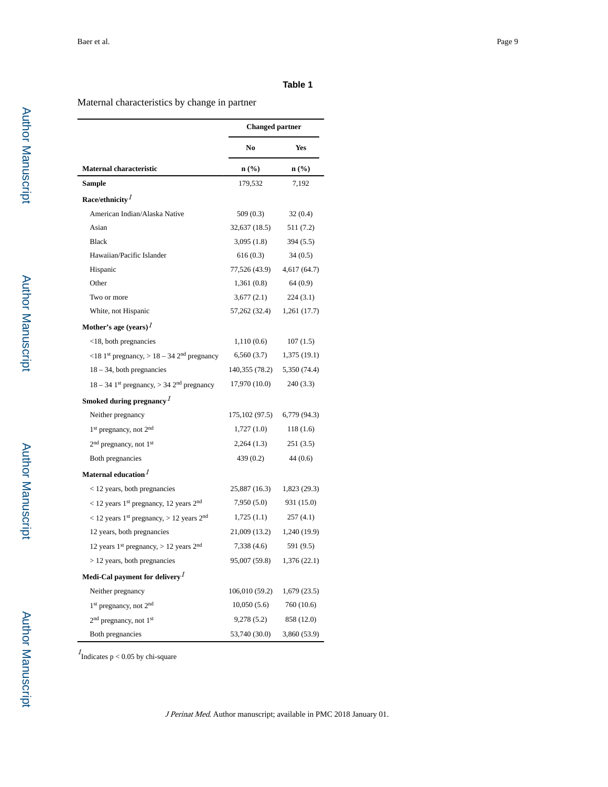#### **Table 1**

#### Maternal characteristics by change in partner

|                                                                      | <b>Changed partner</b> |                  |
|----------------------------------------------------------------------|------------------------|------------------|
|                                                                      | No                     | Yes              |
| <b>Maternal characteristic</b>                                       | n (%)                  | $\mathbf{n}(\%)$ |
| Sample                                                               | 179,532                | 7,192            |
| Race/ethnicity $I$                                                   |                        |                  |
| American Indian/Alaska Native                                        | 509(0.3)               | 32(0.4)          |
| Asian                                                                | 32,637 (18.5)          | 511 (7.2)        |
| <b>Black</b>                                                         | 3,095(1.8)             | 394(5.5)         |
| Hawaiian/Pacific Islander                                            | 616(0.3)               | 34(0.5)          |
| Hispanic                                                             | 77,526 (43.9)          | 4,617(64.7)      |
| Other                                                                | 1,361(0.8)             | 64(0.9)          |
| Two or more                                                          | 3,677(2.1)             | 224(3.1)         |
| White, not Hispanic                                                  | 57,262 (32.4)          | 1,261 (17.7)     |
| Mother's age (years) <sup>1</sup>                                    |                        |                  |
| <18, both pregnancies                                                | 1,110(0.6)             | 107(1.5)         |
| <18 1st pregnancy, $> 18 - 34$ 2 <sup>nd</sup> pregnancy             | 6,560(3.7)             | 1,375 (19.1)     |
| $18 - 34$ , both pregnancies                                         | 140,355 (78.2)         | 5,350 (74.4)     |
| $18 - 34$ 1 <sup>st</sup> pregnancy, > 34 2 <sup>nd</sup> pregnancy  | 17,970 (10.0)          | 240 (3.3)        |
| Smoked during pregnancy $l$                                          |                        |                  |
| Neither pregnancy                                                    | 175, 102 (97.5)        | 6,779 (94.3)     |
| 1 <sup>st</sup> pregnancy, not 2 <sup>nd</sup>                       | 1,727(1.0)             | 118 (1.6)        |
| 2 <sup>nd</sup> pregnancy, not 1 <sup>st</sup>                       | 2,264(1.3)             | 251 (3.5)        |
| Both pregnancies                                                     | 439(0.2)               | 44(0.6)          |
| Maternal education <sup>1</sup>                                      |                        |                  |
| < 12 years, both pregnancies                                         | 25,887 (16.3)          | 1,823 (29.3)     |
| $<$ 12 years 1 <sup>st</sup> pregnancy, 12 years 2 <sup>nd</sup>     | 7,950(5.0)             | 931 (15.0)       |
| $<$ 12 years 1 <sup>st</sup> pregnancy, $>$ 12 years 2 <sup>nd</sup> | 1,725(1.1)             | 257(4.1)         |
| 12 years, both pregnancies                                           | 21,009 (13.2)          | 1,240 (19.9)     |
| 12 years $1st$ pregnancy, > 12 years $2nd$                           | 7,338 (4.6)            | 591 (9.5)        |
| $> 12$ years, both pregnancies                                       | 95,007 (59.8)          | 1,376 (22.1)     |
| Medi-Cal payment for delivery $\frac{1}{2}$                          |                        |                  |
| Neither pregnancy                                                    | 106,010 (59.2)         | 1,679(23.5)      |
| $1st$ pregnancy, not $2nd$                                           | 10,050(5.6)            | 760 (10.6)       |
| 2 <sup>nd</sup> pregnancy, not 1 <sup>st</sup>                       | 9,278(5.2)             | 858 (12.0)       |
| Both pregnancies                                                     | 53,740 (30.0)          | 3,860 (53.9)     |

 $<sup>I</sup>$ Indicates p < 0.05 by chi-square</sup>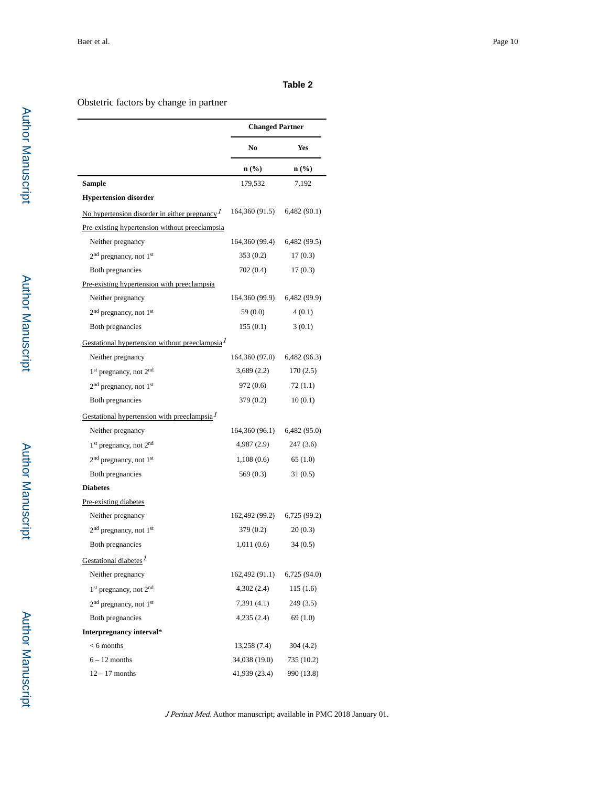#### **Table 2**

#### Obstetric factors by change in partner

|                                                            | <b>Changed Partner</b> |                  |
|------------------------------------------------------------|------------------------|------------------|
|                                                            | N <sub>0</sub>         | Yes              |
|                                                            | n (%)                  | $\mathbf{n}(\%)$ |
| <b>Sample</b>                                              | 179,532                | 7,192            |
| <b>Hypertension disorder</b>                               |                        |                  |
| No hypertension disorder in either pregnancy $\frac{1}{2}$ | 164,360 (91.5)         | 6,482(90.1)      |
| Pre-existing hypertension without preeclampsia             |                        |                  |
| Neither pregnancy                                          | 164,360 (99.4)         | 6,482(99.5)      |
| 2 <sup>nd</sup> pregnancy, not 1 <sup>st</sup>             | 353 (0.2)              | 17(0.3)          |
| Both pregnancies                                           | 702 (0.4)              | 17(0.3)          |
| Pre-existing hypertension with preeclampsia                |                        |                  |
| Neither pregnancy                                          | 164,360 (99.9)         | 6,482 (99.9)     |
| 2 <sup>nd</sup> pregnancy, not 1 <sup>st</sup>             | 59 (0.0)               | 4(0.1)           |
| Both pregnancies                                           | 155(0.1)               | 3(0.1)           |
| Gestational hypertension without preeclampsia <sup>1</sup> |                        |                  |
| Neither pregnancy                                          | 164,360 (97.0)         | 6,482 (96.3)     |
| 1 <sup>st</sup> pregnancy, not 2 <sup>nd</sup>             | 3,689 (2.2)            | 170(2.5)         |
| 2 <sup>nd</sup> pregnancy, not 1 <sup>st</sup>             | 972 (0.6)              | 72(1.1)          |
| Both pregnancies                                           | 379 (0.2)              | 10(0.1)          |
| Gestational hypertension with preeclampsia $I$             |                        |                  |
| Neither pregnancy                                          | 164,360 (96.1)         | 6,482(95.0)      |
| 1 <sup>st</sup> pregnancy, not 2 <sup>nd</sup>             | 4,987(2.9)             | 247(3.6)         |
| 2 <sup>nd</sup> pregnancy, not 1 <sup>st</sup>             | 1,108(0.6)             | 65(1.0)          |
| Both pregnancies                                           | 569 (0.3)              | 31(0.5)          |
| <b>Diabetes</b>                                            |                        |                  |
| Pre-existing diabetes                                      |                        |                  |
| Neither pregnancy                                          | 162,492 (99.2)         | 6,725 (99.2)     |
| 2 <sup>nd</sup> pregnancy, not 1 <sup>st</sup>             | 379 (0.2)              | 20(0.3)          |
| Both pregnancies                                           | 1,011(0.6)             | 34(0.5)          |
| Gestational diabetes $^I$                                  |                        |                  |
| Neither pregnancy                                          | 162,492 (91.1)         | 6,725(94.0)      |
| $1st$ pregnancy, not $2nd$                                 | 4,302(2.4)             | 115(1.6)         |
| 2 <sup>nd</sup> pregnancy, not 1 <sup>st</sup>             | 7,391(4.1)             | 249(3.5)         |
| <b>Both pregnancies</b>                                    | 4,235(2.4)             | 69(1.0)          |
| Interpregnancy interval*                                   |                        |                  |
| $< 6$ months                                               | 13,258 (7.4)           | 304(4.2)         |
| $6 - 12$ months                                            | 34,038 (19.0)          | 735 (10.2)       |
| $12 - 17$ months                                           | 41,939 (23.4)          | 990 (13.8)       |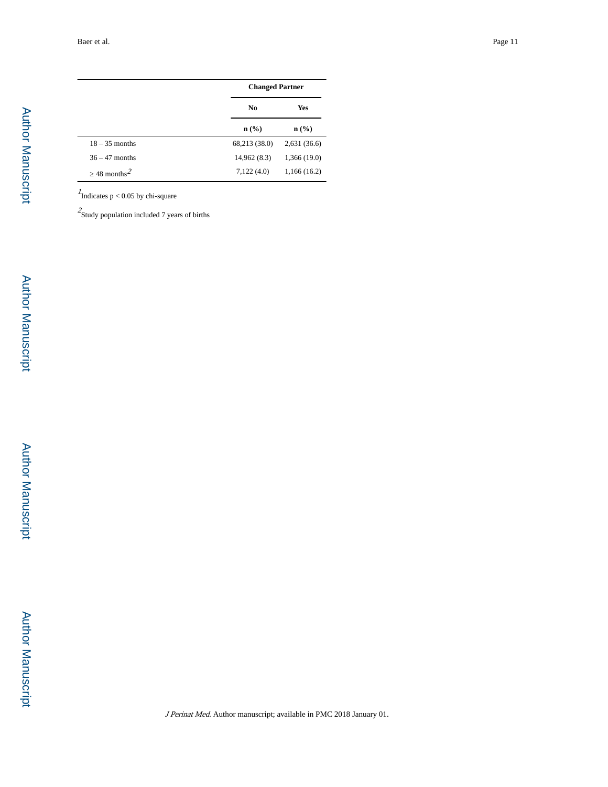$\overline{\phantom{0}}$ 

j.

|                        | <b>Changed Partner</b> |                  |
|------------------------|------------------------|------------------|
|                        | N <sub>0</sub>         | Yes              |
|                        | $\mathbf{n}(\%)$       | $\mathbf{n}(\%)$ |
| $18 - 35$ months       | 68,213 (38.0)          | 2,631(36.6)      |
| $36 - 47$ months       | 14,962 (8.3)           | 1,366(19.0)      |
| 48 months <sup>2</sup> | 7,122(4.0)             | 1,166(16.2)      |

 $<sup>I</sup>$ Indicates p < 0.05 by chi-square</sup>

 $2$ Study population included 7 years of births